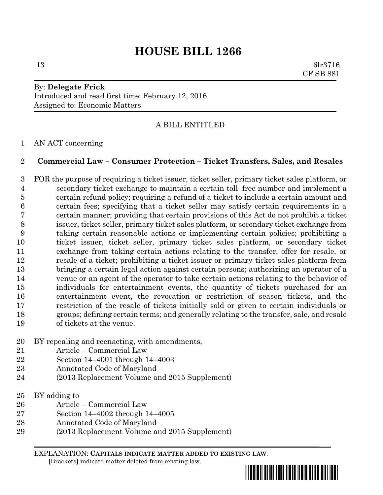# **HOUSE BILL 1266**

I3 6lr3716 CF SB 881

# By: **Delegate Frick** Introduced and read first time: February 12, 2016 Assigned to: Economic Matters

# A BILL ENTITLED

## AN ACT concerning

## **Commercial Law – Consumer Protection – Ticket Transfers, Sales, and Resales**

 FOR the purpose of requiring a ticket issuer, ticket seller, primary ticket sales platform, or secondary ticket exchange to maintain a certain toll–free number and implement a certain refund policy; requiring a refund of a ticket to include a certain amount and certain fees; specifying that a ticket seller may satisfy certain requirements in a certain manner; providing that certain provisions of this Act do not prohibit a ticket issuer, ticket seller, primary ticket sales platform, or secondary ticket exchange from taking certain reasonable actions or implementing certain policies; prohibiting a ticket issuer, ticket seller, primary ticket sales platform, or secondary ticket exchange from taking certain actions relating to the transfer, offer for resale, or resale of a ticket; prohibiting a ticket issuer or primary ticket sales platform from bringing a certain legal action against certain persons; authorizing an operator of a venue or an agent of the operator to take certain actions relating to the behavior of individuals for entertainment events, the quantity of tickets purchased for an entertainment event, the revocation or restriction of season tickets, and the restriction of the resale of tickets initially sold or given to certain individuals or groups; defining certain terms; and generally relating to the transfer, sale, and resale of tickets at the venue.

- BY repealing and reenacting, with amendments,
- Article Commercial Law
- Section 14–4001 through 14–4003
- Annotated Code of Maryland
- (2013 Replacement Volume and 2015 Supplement)
- BY adding to
- Article Commercial Law
- Section 14–4002 through 14–4005
- Annotated Code of Maryland
- (2013 Replacement Volume and 2015 Supplement)

EXPLANATION: **CAPITALS INDICATE MATTER ADDED TO EXISTING LAW**.

 **[**Brackets**]** indicate matter deleted from existing law.

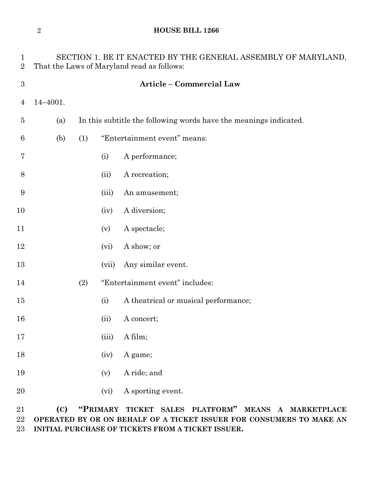## **HOUSE BILL 1266**

| $\mathbf{1}$<br>$\overline{2}$ | SECTION 1. BE IT ENACTED BY THE GENERAL ASSEMBLY OF MARYLAND,<br>That the Laws of Maryland read as follows: |                                                                   |       |                                      |
|--------------------------------|-------------------------------------------------------------------------------------------------------------|-------------------------------------------------------------------|-------|--------------------------------------|
| $\boldsymbol{3}$               |                                                                                                             |                                                                   |       | <b>Article - Commercial Law</b>      |
| 4                              | 14-4001.                                                                                                    |                                                                   |       |                                      |
| $\overline{5}$                 | (a)                                                                                                         | In this subtitle the following words have the meanings indicated. |       |                                      |
| 6                              | (b)                                                                                                         | (1)                                                               |       | "Entertainment event" means:         |
| 7                              |                                                                                                             |                                                                   | (i)   | A performance;                       |
| 8                              |                                                                                                             |                                                                   | (ii)  | A recreation;                        |
| 9                              |                                                                                                             |                                                                   | (iii) | An amusement;                        |
| 10                             |                                                                                                             |                                                                   | (iv)  | A diversion;                         |
| 11                             |                                                                                                             |                                                                   | (v)   | A spectacle;                         |
| 12                             |                                                                                                             |                                                                   | (vi)  | A show; or                           |
| 13                             |                                                                                                             |                                                                   | (vii) | Any similar event.                   |
| 14                             |                                                                                                             | (2)                                                               |       | "Entertainment event" includes:      |
| 15                             |                                                                                                             |                                                                   | (i)   | A theatrical or musical performance; |
| 16                             |                                                                                                             |                                                                   | (ii)  | A concert;                           |
| 17                             |                                                                                                             |                                                                   | (iii) | A film;                              |
| 18                             |                                                                                                             |                                                                   | (iv)  | A game;                              |
| 19                             |                                                                                                             |                                                                   | (v)   | A ride; and                          |
| $20\,$                         |                                                                                                             |                                                                   | (vi)  | A sporting event.                    |

 **(C) "PRIMARY TICKET SALES PLATFORM" MEANS A MARKETPLACE OPERATED BY OR ON BEHALF OF A TICKET ISSUER FOR CONSUMERS TO MAKE AN INITIAL PURCHASE OF TICKETS FROM A TICKET ISSUER.**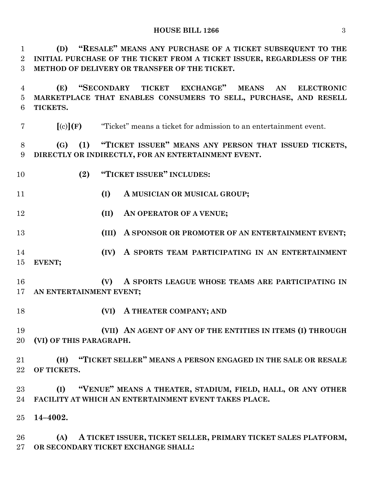**(D) "RESALE" MEANS ANY PURCHASE OF A TICKET SUBSEQUENT TO THE INITIAL PURCHASE OF THE TICKET FROM A TICKET ISSUER, REGARDLESS OF THE METHOD OF DELIVERY OR TRANSFER OF THE TICKET.**

 **(E) "SECONDARY TICKET EXCHANGE" MEANS AN ELECTRONIC MARKETPLACE THAT ENABLES CONSUMERS TO SELL, PURCHASE, AND RESELL TICKETS.**

**[**(c)**](F)** "Ticket" means a ticket for admission to an entertainment event.

 **(G) (1) "TICKET ISSUER" MEANS ANY PERSON THAT ISSUED TICKETS, DIRECTLY OR INDIRECTLY, FOR AN ENTERTAINMENT EVENT.**

- **(2) "TICKET ISSUER" INCLUDES:**
- **(I) A MUSICIAN OR MUSICAL GROUP;**
- **(II) AN OPERATOR OF A VENUE;**
- **(III) A SPONSOR OR PROMOTER OF AN ENTERTAINMENT EVENT;**
- **(IV) A SPORTS TEAM PARTICIPATING IN AN ENTERTAINMENT EVENT;**
- **(V) A SPORTS LEAGUE WHOSE TEAMS ARE PARTICIPATING IN AN ENTERTAINMENT EVENT;**
- **(VI) A THEATER COMPANY; AND**

 **(VII) AN AGENT OF ANY OF THE ENTITIES IN ITEMS (I) THROUGH (VI) OF THIS PARAGRAPH.**

 **(H) "TICKET SELLER" MEANS A PERSON ENGAGED IN THE SALE OR RESALE OF TICKETS.**

 **(I) "VENUE" MEANS A THEATER, STADIUM, FIELD, HALL, OR ANY OTHER FACILITY AT WHICH AN ENTERTAINMENT EVENT TAKES PLACE.**

**14–4002.**

 **(A) A TICKET ISSUER, TICKET SELLER, PRIMARY TICKET SALES PLATFORM, OR SECONDARY TICKET EXCHANGE SHALL:**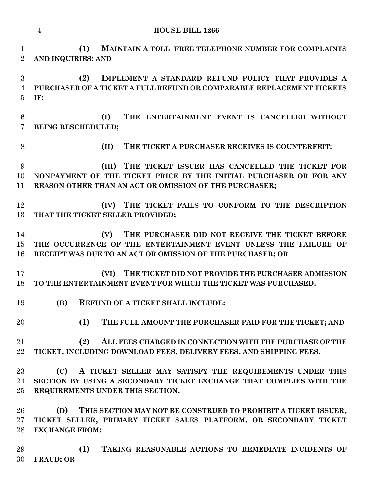**(II) THE TICKET A PURCHASER RECEIVES IS COUNTERFEIT; (C) A TICKET SELLER MAY SATISFY THE REQUIREMENTS UNDER THIS SECTION BY USING A SECONDARY TICKET EXCHANGE THAT COMPLIES WITH THE REQUIREMENTS UNDER THIS SECTION.**

 **(D) THIS SECTION MAY NOT BE CONSTRUED TO PROHIBIT A TICKET ISSUER, TICKET SELLER, PRIMARY TICKET SALES PLATFORM, OR SECONDARY TICKET EXCHANGE FROM:**

 **(1) TAKING REASONABLE ACTIONS TO REMEDIATE INCIDENTS OF FRAUD; OR**

#### **HOUSE BILL 1266**

**AND INQUIRIES; AND**

**(1) MAINTAIN A TOLL–FREE TELEPHONE NUMBER FOR COMPLAINTS** 

 **(2) IMPLEMENT A STANDARD REFUND POLICY THAT PROVIDES A PURCHASER OF A TICKET A FULL REFUND OR COMPARABLE REPLACEMENT TICKETS IF:**

 **(I) THE ENTERTAINMENT EVENT IS CANCELLED WITHOUT BEING RESCHEDULED;**

 **(III) THE TICKET ISSUER HAS CANCELLED THE TICKET FOR NONPAYMENT OF THE TICKET PRICE BY THE INITIAL PURCHASER OR FOR ANY REASON OTHER THAN AN ACT OR OMISSION OF THE PURCHASER;**

 **(IV) THE TICKET FAILS TO CONFORM TO THE DESCRIPTION THAT THE TICKET SELLER PROVIDED;**

 **(V) THE PURCHASER DID NOT RECEIVE THE TICKET BEFORE THE OCCURRENCE OF THE ENTERTAINMENT EVENT UNLESS THE FAILURE OF RECEIPT WAS DUE TO AN ACT OR OMISSION OF THE PURCHASER; OR**

 **(VI) THE TICKET DID NOT PROVIDE THE PURCHASER ADMISSION TO THE ENTERTAINMENT EVENT FOR WHICH THE TICKET WAS PURCHASED.**

**(B) REFUND OF A TICKET SHALL INCLUDE:**

**(1) THE FULL AMOUNT THE PURCHASER PAID FOR THE TICKET; AND**

 **(2) ALL FEES CHARGED IN CONNECTION WITH THE PURCHASE OF THE TICKET, INCLUDING DOWNLOAD FEES, DELIVERY FEES, AND SHIPPING FEES.**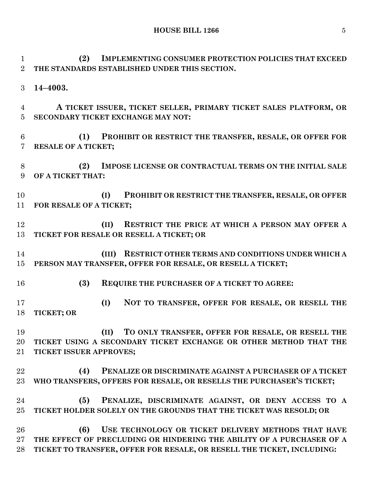**HOUSE BILL 1266** 5

 **(2) IMPLEMENTING CONSUMER PROTECTION POLICIES THAT EXCEED THE STANDARDS ESTABLISHED UNDER THIS SECTION. 14–4003. A TICKET ISSUER, TICKET SELLER, PRIMARY TICKET SALES PLATFORM, OR** 

**SECONDARY TICKET EXCHANGE MAY NOT:**

 **(1) PROHIBIT OR RESTRICT THE TRANSFER, RESALE, OR OFFER FOR RESALE OF A TICKET;**

 **(2) IMPOSE LICENSE OR CONTRACTUAL TERMS ON THE INITIAL SALE OF A TICKET THAT:**

 **(I) PROHIBIT OR RESTRICT THE TRANSFER, RESALE, OR OFFER FOR RESALE OF A TICKET;**

 **(II) RESTRICT THE PRICE AT WHICH A PERSON MAY OFFER A TICKET FOR RESALE OR RESELL A TICKET; OR**

 **(III) RESTRICT OTHER TERMS AND CONDITIONS UNDER WHICH A PERSON MAY TRANSFER, OFFER FOR RESALE, OR RESELL A TICKET;**

**(3) REQUIRE THE PURCHASER OF A TICKET TO AGREE:**

 **(I) NOT TO TRANSFER, OFFER FOR RESALE, OR RESELL THE TICKET; OR**

 **(II) TO ONLY TRANSFER, OFFER FOR RESALE, OR RESELL THE TICKET USING A SECONDARY TICKET EXCHANGE OR OTHER METHOD THAT THE TICKET ISSUER APPROVES;**

 **(4) PENALIZE OR DISCRIMINATE AGAINST A PURCHASER OF A TICKET WHO TRANSFERS, OFFERS FOR RESALE, OR RESELLS THE PURCHASER'S TICKET;**

 **(5) PENALIZE, DISCRIMINATE AGAINST, OR DENY ACCESS TO A TICKET HOLDER SOLELY ON THE GROUNDS THAT THE TICKET WAS RESOLD; OR**

 **(6) USE TECHNOLOGY OR TICKET DELIVERY METHODS THAT HAVE THE EFFECT OF PRECLUDING OR HINDERING THE ABILITY OF A PURCHASER OF A TICKET TO TRANSFER, OFFER FOR RESALE, OR RESELL THE TICKET, INCLUDING:**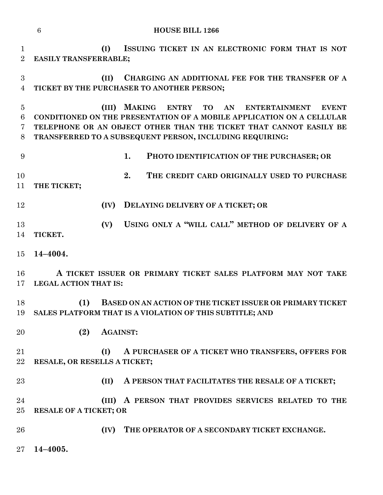|                                                | <b>HOUSE BILL 1266</b><br>$6\phantom{.}6$                                                                                                                                                                                                                                                          |
|------------------------------------------------|----------------------------------------------------------------------------------------------------------------------------------------------------------------------------------------------------------------------------------------------------------------------------------------------------|
| $\mathbf{1}$<br>$\overline{2}$                 | (I)<br>ISSUING TICKET IN AN ELECTRONIC FORM THAT IS NOT<br><b>EASILY TRANSFERRABLE;</b>                                                                                                                                                                                                            |
| 3<br>$\overline{4}$                            | CHARGING AN ADDITIONAL FEE FOR THE TRANSFER OF A<br>(II)<br>TICKET BY THE PURCHASER TO ANOTHER PERSON;                                                                                                                                                                                             |
| $\overline{5}$<br>$\,6$<br>$\overline{7}$<br>8 | <b>MAKING</b><br><b>ENTRY</b><br><b>TO</b><br>AN ENTERTAINMENT<br>(III)<br><b>EVENT</b><br>CONDITIONED ON THE PRESENTATION OF A MOBILE APPLICATION ON A CELLULAR<br>TELEPHONE OR AN OBJECT OTHER THAN THE TICKET THAT CANNOT EASILY BE<br>TRANSFERRED TO A SUBSEQUENT PERSON, INCLUDING REQUIRING: |
| 9                                              | 1.<br>PHOTO IDENTIFICATION OF THE PURCHASER; OR                                                                                                                                                                                                                                                    |
| 10<br>11                                       | 2.<br>THE CREDIT CARD ORIGINALLY USED TO PURCHASE<br>THE TICKET;                                                                                                                                                                                                                                   |
| 12                                             | DELAYING DELIVERY OF A TICKET; OR<br>(IV)                                                                                                                                                                                                                                                          |
| 13<br>14                                       | USING ONLY A "WILL CALL" METHOD OF DELIVERY OF A<br>(V)<br>TICKET.                                                                                                                                                                                                                                 |
| 15                                             | 14-4004.                                                                                                                                                                                                                                                                                           |
| 16<br>17                                       | A TICKET ISSUER OR PRIMARY TICKET SALES PLATFORM MAY NOT TAKE<br><b>LEGAL ACTION THAT IS:</b>                                                                                                                                                                                                      |
| 18<br>19                                       | (1)<br><b>BASED ON AN ACTION OF THE TICKET ISSUER OR PRIMARY TICKET</b><br>SALES PLATFORM THAT IS A VIOLATION OF THIS SUBTITLE; AND                                                                                                                                                                |
| 20                                             | (2)<br><b>AGAINST:</b>                                                                                                                                                                                                                                                                             |
| 21<br>$\bf 22$                                 | (I)<br>A PURCHASER OF A TICKET WHO TRANSFERS, OFFERS FOR<br>RESALE, OR RESELLS A TICKET;                                                                                                                                                                                                           |
| 23                                             | (II)<br>A PERSON THAT FACILITATES THE RESALE OF A TICKET;                                                                                                                                                                                                                                          |
| 24<br>25                                       | A PERSON THAT PROVIDES SERVICES RELATED TO THE<br>(III)<br><b>RESALE OF A TICKET; OR</b>                                                                                                                                                                                                           |
| 26                                             | THE OPERATOR OF A SECONDARY TICKET EXCHANGE.<br>(IV)                                                                                                                                                                                                                                               |
| 27                                             | 14-4005.                                                                                                                                                                                                                                                                                           |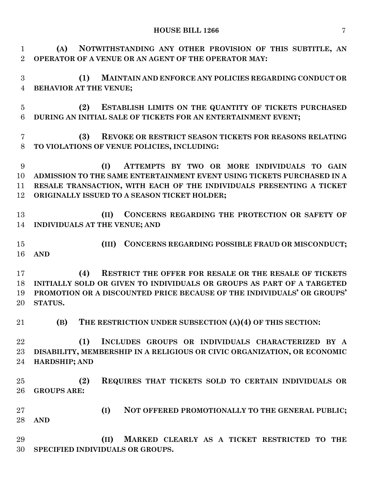## **HOUSE BILL 1266** 7

 **(A) NOTWITHSTANDING ANY OTHER PROVISION OF THIS SUBTITLE, AN OPERATOR OF A VENUE OR AN AGENT OF THE OPERATOR MAY:**

 **(1) MAINTAIN AND ENFORCE ANY POLICIES REGARDING CONDUCT OR BEHAVIOR AT THE VENUE;**

 **(2) ESTABLISH LIMITS ON THE QUANTITY OF TICKETS PURCHASED DURING AN INITIAL SALE OF TICKETS FOR AN ENTERTAINMENT EVENT;**

 **(3) REVOKE OR RESTRICT SEASON TICKETS FOR REASONS RELATING TO VIOLATIONS OF VENUE POLICIES, INCLUDING:**

 **(I) ATTEMPTS BY TWO OR MORE INDIVIDUALS TO GAIN ADMISSION TO THE SAME ENTERTAINMENT EVENT USING TICKETS PURCHASED IN A RESALE TRANSACTION, WITH EACH OF THE INDIVIDUALS PRESENTING A TICKET ORIGINALLY ISSUED TO A SEASON TICKET HOLDER;**

 **(II) CONCERNS REGARDING THE PROTECTION OR SAFETY OF INDIVIDUALS AT THE VENUE; AND**

 **(III) CONCERNS REGARDING POSSIBLE FRAUD OR MISCONDUCT; AND**

 **(4) RESTRICT THE OFFER FOR RESALE OR THE RESALE OF TICKETS INITIALLY SOLD OR GIVEN TO INDIVIDUALS OR GROUPS AS PART OF A TARGETED PROMOTION OR A DISCOUNTED PRICE BECAUSE OF THE INDIVIDUALS' OR GROUPS' STATUS.**

**(B) THE RESTRICTION UNDER SUBSECTION (A)(4) OF THIS SECTION:**

 **(1) INCLUDES GROUPS OR INDIVIDUALS CHARACTERIZED BY A DISABILITY, MEMBERSHIP IN A RELIGIOUS OR CIVIC ORGANIZATION, OR ECONOMIC HARDSHIP; AND**

 **(2) REQUIRES THAT TICKETS SOLD TO CERTAIN INDIVIDUALS OR GROUPS ARE:**

 **(I) NOT OFFERED PROMOTIONALLY TO THE GENERAL PUBLIC; AND**

 **(II) MARKED CLEARLY AS A TICKET RESTRICTED TO THE SPECIFIED INDIVIDUALS OR GROUPS.**